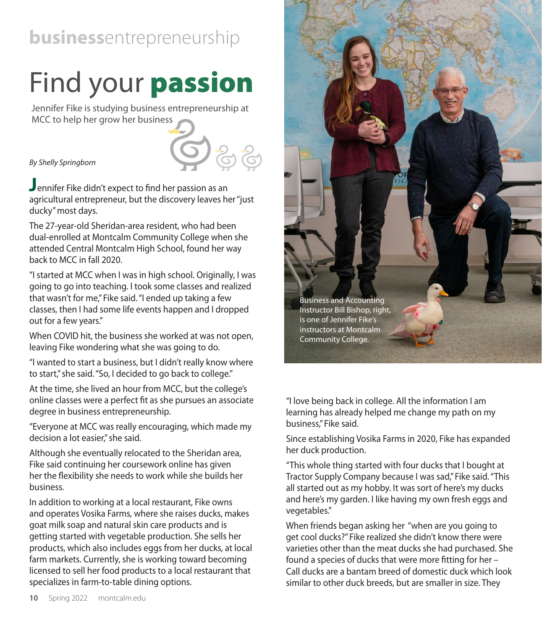## **business**entrepreneurship

## Find your **passion**

Jennifer Fike is studying business entrepreneurship at MCC to help her grow her business

## *By Shelly Springborn*

**J**ennifer Fike didn't expect to find her passion as an agricultural entrepreneur, but the discovery leaves her "just ducky" most days.

The 27-year-old Sheridan-area resident, who had been dual-enrolled at Montcalm Community College when she attended Central Montcalm High School, found her way back to MCC in fall 2020.

"I started at MCC when I was in high school. Originally, I was going to go into teaching. I took some classes and realized that wasn't for me," Fike said. "I ended up taking a few classes, then I had some life events happen and I dropped out for a few years."

When COVID hit, the business she worked at was not open, leaving Fike wondering what she was going to do.

"I wanted to start a business, but I didn't really know where to start," she said. "So, I decided to go back to college."

At the time, she lived an hour from MCC, but the college's online classes were a perfect fit as she pursues an associate degree in business entrepreneurship.

"Everyone at MCC was really encouraging, which made my decision a lot easier," she said.

Although she eventually relocated to the Sheridan area, Fike said continuing her coursework online has given her the flexibility she needs to work while she builds her business.

In addition to working at a local restaurant, Fike owns and operates Vosika Farms, where she raises ducks, makes goat milk soap and natural skin care products and is getting started with vegetable production. She sells her products, which also includes eggs from her ducks, at local farm markets. Currently, she is working toward becoming licensed to sell her food products to a local restaurant that specializes in farm-to-table dining options.



"I love being back in college. All the information I am learning has already helped me change my path on my business," Fike said.

Since establishing Vosika Farms in 2020, Fike has expanded her duck production.

"This whole thing started with four ducks that I bought at Tractor Supply Company because I was sad," Fike said. "This all started out as my hobby. It was sort of here's my ducks and here's my garden. I like having my own fresh eggs and vegetables."

When friends began asking her "when are you going to get cool ducks?" Fike realized she didn't know there were varieties other than the meat ducks she had purchased. She found a species of ducks that were more fitting for her – Call ducks are a bantam breed of domestic duck which look similar to other duck breeds, but are smaller in size. They